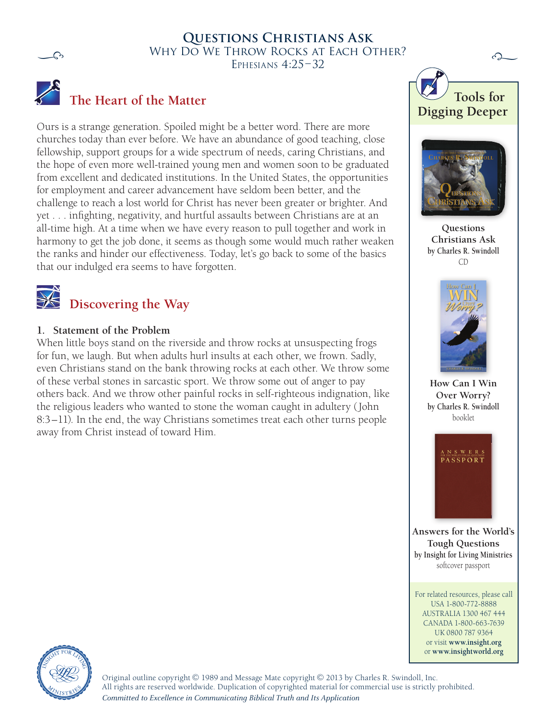

## WHY DO WE THROW ROCKS AT EACH OTHER? **Questions Christians Ask** Ephesians 4:25–32



# **The Heart of the Matter**

Ours is a strange generation. Spoiled might be a better word. There are more churches today than ever before. We have an abundance of good teaching, close fellowship, support groups for a wide spectrum of needs, caring Christians, and the hope of even more well-trained young men and women soon to be graduated from excellent and dedicated institutions. In the United States, the opportunities for employment and career advancement have seldom been better, and the challenge to reach a lost world for Christ has never been greater or brighter. And yet . . . infighting, negativity, and hurtful assaults between Christians are at an all-time high. At a time when we have every reason to pull together and work in harmony to get the job done, it seems as though some would much rather weaken the ranks and hinder our effectiveness. Today, let's go back to some of the basics that our indulged era seems to have forgotten.



#### **1. Statement of the Problem**

When little boys stand on the riverside and throw rocks at unsuspecting frogs for fun, we laugh. But when adults hurl insults at each other, we frown. Sadly, even Christians stand on the bank throwing rocks at each other. We throw some of these verbal stones in sarcastic sport. We throw some out of anger to pay others back. And we throw other painful rocks in self-righteous indignation, like the religious leaders who wanted to stone the woman caught in adultery (John 8:3–11). In the end, the way Christians sometimes treat each other turns people away from Christ instead of toward Him.





**Questions Christians Ask by Charles R. Swindoll** CD



**How Can I Win Over Worry? by Charles R. Swindoll** booklet



**Answers for the World's Tough Questions by Insight for Living Ministries** softcover passport

For related resources, please call USA 1-800-772-8888 AUSTRALIA 1300 467 444 CANADA 1-800-663-7639 UK 0800 787 9364 or visit **www.insight.org** or **www.insightworld.org**



Original outline copyright © 1989 and Message Mate copyright © 2013 by Charles R. Swindoll, Inc. All rights are reserved worldwide. Duplication of copyrighted material for commercial use is strictly prohibited. *Committed to Excellence in Communicating Biblical Truth and Its Application*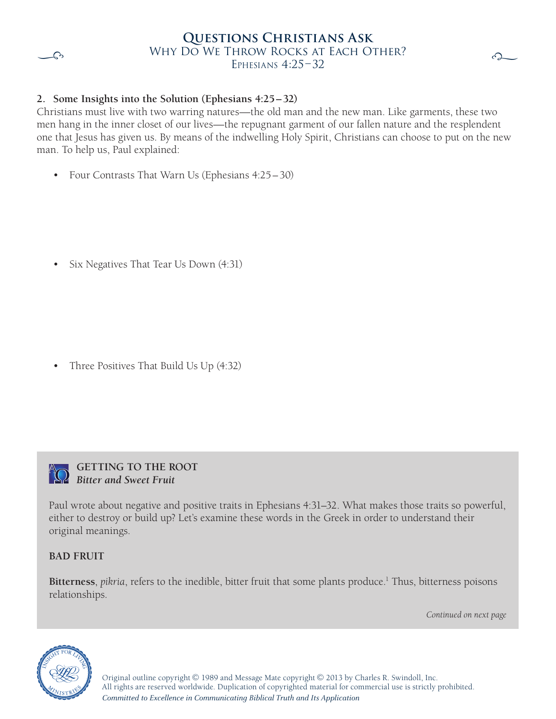

### WHY DO WE THROW ROCKS AT EACH OTHER? **Questions Christians Ask** EPHESIANS  $4:25-32$



## **2. Some Insights into the Solution (Ephesians 4:25–32)**

Christians must live with two warring natures—the old man and the new man. Like garments, these two men hang in the inner closet of our lives—the repugnant garment of our fallen nature and the resplendent one that Jesus has given us. By means of the indwelling Holy Spirit, Christians can choose to put on the new man. To help us, Paul explained:

• Four Contrasts That Warn Us (Ephesians 4:25–30)

• Six Negatives That Tear Us Down (4:31)

• Three Positives That Build Us Up (4:32)



#### **Getting to the Root** *Bitter and Sweet Fruit*

Paul wrote about negative and positive traits in Ephesians 4:31–32. What makes those traits so powerful, either to destroy or build up? Let's examine these words in the Greek in order to understand their original meanings.

## **BAD FRUIT**

Bitterness, *pikria*, refers to the inedible, bitter fruit that some plants produce.<sup>1</sup> Thus, bitterness poisons relationships.

*Continued on next page*



Original outline copyright  $\odot$  1989 and Message Mate copyright  $\odot$  2013 by Charles R. Swindoll, Inc. All rights are reserved worldwide. Duplication of copyrighted material for commercial use is strictly prohibited. *Committed to Excellence in Communicating Biblical Truth and Its Application*